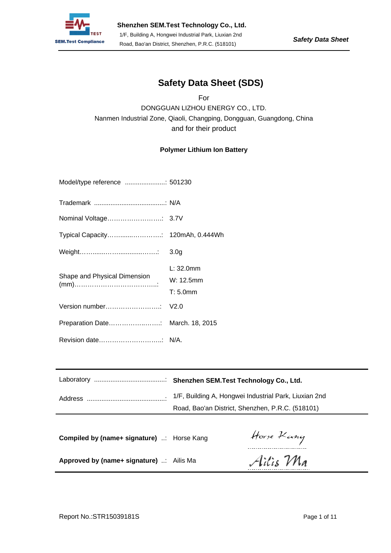

### **Safety Data Sheet (SDS)**

For DONGGUAN LIZHOU ENERGY CO., LTD. Nanmen Industrial Zone, Qiaoli, Changping, Dongguan, Guangdong, China and for their product

#### **Polymer Lithium Ion Battery**

| Model/type reference : 501230    |                                          |
|----------------------------------|------------------------------------------|
|                                  |                                          |
|                                  |                                          |
|                                  |                                          |
| Weight……………………………………             | 3.0 <sub>q</sub>                         |
| Shape and Physical Dimension     | $L: 32.0$ mm<br>W: 12.5mm<br>$T: 5.0$ mm |
|                                  |                                          |
| Preparation Date March. 18, 2015 |                                          |
|                                  |                                          |

|                                                 | Road, Bao'an District, Shenzhen, P.R.C. (518101) |            |
|-------------------------------------------------|--------------------------------------------------|------------|
| <b>Compiled by (name+ signature)</b> Horse Kang |                                                  | Horse Kang |
| Approved by (name+ signature) : Ailis Ma        |                                                  | Ailis Ma   |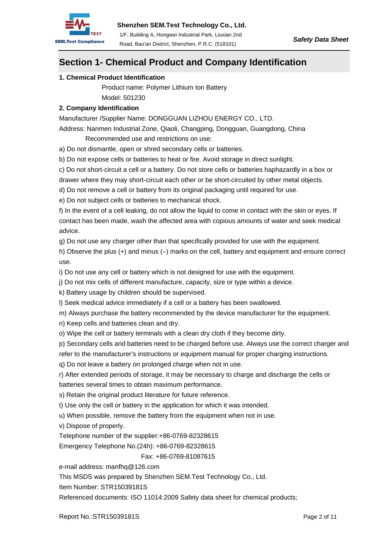

### **Section 1- Chemical Product and Company Identification**

#### **1. Chemical Product Identification**

 Product name: Polymer Lithium Ion Battery Model: 501230

#### **2. Company Identification**

Manufacturer /Supplier Name: DONGGUAN LIZHOU ENERGY CO., LTD.

Address: Nanmen Industrial Zone, Qiaoli, Changping, Dongguan, Guangdong, China Recommended use and restrictions on use:

a) Do not dismantle, open or shred secondary cells or batteries.

b) Do not expose cells or batteries to heat or fire. Avoid storage in direct sunlight.

c) Do not short-circuit a cell or a battery. Do not store cells or batteries haphazardly in a box or

drawer where they may short-circuit each other or be short-circuited by other metal objects.

d) Do not remove a cell or battery from its original packaging until required for use.

e) Do not subject cells or batteries to mechanical shock.

f) In the event of a cell leaking, do not allow the liquid to come in contact with the skin or eyes. If contact has been made, wash the affected area with copious amounts of water and seek medical advice.

g) Do not use any charger other than that specifically provided for use with the equipment.

h) Observe the plus (+) and minus (–) marks on the cell, battery and equipment and ensure correct use.

i) Do not use any cell or battery which is not designed for use with the equipment.

j) Do not mix cells of different manufacture, capacity, size or type within a device.

k) Battery usage by children should be supervised.

l) Seek medical advice immediately if a cell or a battery has been swallowed.

m) Always purchase the battery recommended by the device manufacturer for the equipment.

n) Keep cells and batteries clean and dry.

o) Wipe the cell or battery terminals with a clean dry cloth if they become dirty.

p) Secondary cells and batteries need to be charged before use. Always use the correct charger and

refer to the manufacturer's instructions or equipment manual for proper charging instructions.

q) Do not leave a battery on prolonged charge when not in use.

r) After extended periods of storage, it may be necessary to charge and discharge the cells or batteries several times to obtain maximum performance.

s) Retain the original product literature for future reference.

t) Use only the cell or battery in the application for which it was intended.

u) When possible, remove the battery from the equipment when not in use.

v) Dispose of properly.

Telephone number of the supplier:+86-0769-82328615

Emergency Telephone No.(24h): +86-0769-82328615

Fax: +86-0769-81087615

e-mail address: manfhq@126.com

This MSDS was prepared by Shenzhen SEM.Test Technology Co., Ltd.

Item Number: STR15039181S

Referenced documents: ISO 11014:2009 Safety data sheet for chemical products;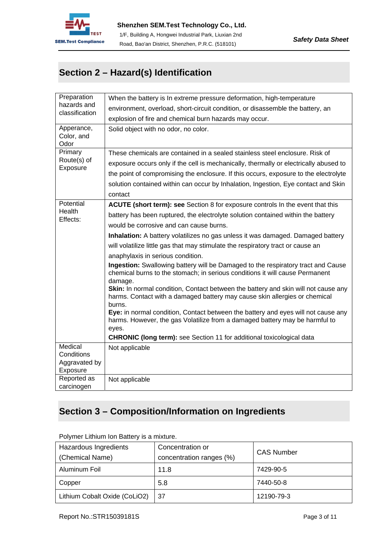

# **Section 2 – Hazard(s) Identification**

| Preparation                                        | When the battery is In extreme pressure deformation, high-temperature                                                                                                       |  |
|----------------------------------------------------|-----------------------------------------------------------------------------------------------------------------------------------------------------------------------------|--|
| hazards and<br>classification                      | environment, overload, short-circuit condition, or disassemble the battery, an                                                                                              |  |
|                                                    | explosion of fire and chemical burn hazards may occur.                                                                                                                      |  |
| Apperance,<br>Color, and<br>Odor                   | Solid object with no odor, no color.                                                                                                                                        |  |
| Primary                                            | These chemicals are contained in a sealed stainless steel enclosure. Risk of                                                                                                |  |
| Route(s) of<br>Exposure                            | exposure occurs only if the cell is mechanically, thermally or electrically abused to                                                                                       |  |
|                                                    | the point of compromising the enclosure. If this occurs, exposure to the electrolyte                                                                                        |  |
|                                                    | solution contained within can occur by Inhalation, Ingestion, Eye contact and Skin                                                                                          |  |
|                                                    | contact                                                                                                                                                                     |  |
| Potential                                          | ACUTE (short term): see Section 8 for exposure controls In the event that this                                                                                              |  |
| Health<br>Effects:                                 | battery has been ruptured, the electrolyte solution contained within the battery                                                                                            |  |
|                                                    | would be corrosive and can cause burns.                                                                                                                                     |  |
|                                                    | Inhalation: A battery volatilizes no gas unless it was damaged. Damaged battery                                                                                             |  |
|                                                    | will volatilize little gas that may stimulate the respiratory tract or cause an                                                                                             |  |
|                                                    | anaphylaxis in serious condition.                                                                                                                                           |  |
|                                                    | Ingestion: Swallowing battery will be Damaged to the respiratory tract and Cause<br>chemical burns to the stomach; in serious conditions it will cause Permanent<br>damage. |  |
|                                                    | Skin: In normal condition, Contact between the battery and skin will not cause any<br>harms. Contact with a damaged battery may cause skin allergies or chemical<br>burns.  |  |
|                                                    | Eye: in normal condition, Contact between the battery and eyes will not cause any<br>harms. However, the gas Volatilize from a damaged battery may be harmful to<br>eyes.   |  |
|                                                    | <b>CHRONIC (long term):</b> see Section 11 for additional toxicological data                                                                                                |  |
| Medical<br>Conditions<br>Aggravated by<br>Exposure | Not applicable                                                                                                                                                              |  |
| Reported as<br>carcinogen                          | Not applicable                                                                                                                                                              |  |

## **Section 3 – Composition/Information on Ingredients**

| Hazardous Ingredients<br>(Chemical Name) | Concentration or<br>concentration ranges (%) | <b>CAS Number</b> |
|------------------------------------------|----------------------------------------------|-------------------|
| Aluminum Foil                            | 11.8                                         | 7429-90-5         |
| Copper                                   | 5.8                                          | 7440-50-8         |
| Lithium Cobalt Oxide (CoLiO2)            | -37                                          | 12190-79-3        |

Polymer Lithium Ion Battery is a mixture.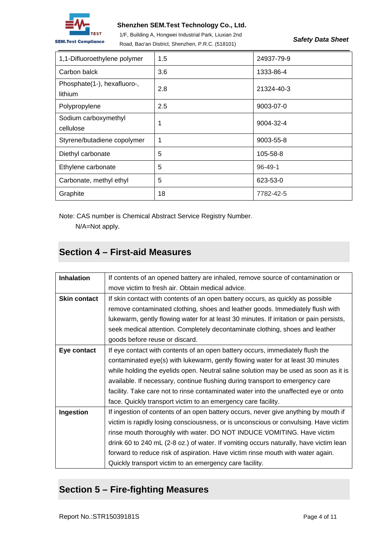

#### **Shenzhen SEM.Test Technology Co., Ltd.**

1/F, Building A, Hongwei Industrial Park, Liuxian 2nd Road, Bao'an District, Shenzhen, P.R.C. (518101)

*Safety Data Sheet* 

| 1,1-Difluoroethylene polymer           | 1.5 | 24937-79-9    |
|----------------------------------------|-----|---------------|
| Carbon balck                           | 3.6 | 1333-86-4     |
| Phosphate(1-), hexafluoro-,<br>lithium | 2.8 | 21324-40-3    |
| Polypropylene                          | 2.5 | 9003-07-0     |
| Sodium carboxymethyl<br>cellulose      | 1   | 9004-32-4     |
| Styrene/butadiene copolymer            | 1   | 9003-55-8     |
| Diethyl carbonate                      | 5   | 105-58-8      |
| Ethylene carbonate                     | 5   | $96 - 49 - 1$ |
| Carbonate, methyl ethyl                | 5   | 623-53-0      |
| Graphite                               | 18  | 7782-42-5     |

Note: CAS number is Chemical Abstract Service Registry Number.

N/A=Not apply.

## **Section 4 – First-aid Measures**

| <b>Inhalation</b>   | If contents of an opened battery are inhaled, remove source of contamination or         |  |  |
|---------------------|-----------------------------------------------------------------------------------------|--|--|
|                     | move victim to fresh air. Obtain medical advice.                                        |  |  |
| <b>Skin contact</b> | If skin contact with contents of an open battery occurs, as quickly as possible         |  |  |
|                     | remove contaminated clothing, shoes and leather goods. Immediately flush with           |  |  |
|                     | lukewarm, gently flowing water for at least 30 minutes. If irritation or pain persists, |  |  |
|                     | seek medical attention. Completely decontaminate clothing, shoes and leather            |  |  |
|                     | goods before reuse or discard.                                                          |  |  |
| Eye contact         | If eye contact with contents of an open battery occurs, immediately flush the           |  |  |
|                     | contaminated eye(s) with lukewarm, gently flowing water for at least 30 minutes         |  |  |
|                     | while holding the eyelids open. Neutral saline solution may be used as soon as it is    |  |  |
|                     | available. If necessary, continue flushing during transport to emergency care           |  |  |
|                     | facility. Take care not to rinse contaminated water into the unaffected eye or onto     |  |  |
|                     | face. Quickly transport victim to an emergency care facility.                           |  |  |
| Ingestion           | If ingestion of contents of an open battery occurs, never give anything by mouth if     |  |  |
|                     | victim is rapidly losing consciousness, or is unconscious or convulsing. Have victim    |  |  |
|                     | rinse mouth thoroughly with water. DO NOT INDUCE VOMITING. Have victim                  |  |  |
|                     | drink 60 to 240 mL (2-8 oz.) of water. If vomiting occurs naturally, have victim lean   |  |  |
|                     | forward to reduce risk of aspiration. Have victim rinse mouth with water again.         |  |  |
|                     | Quickly transport victim to an emergency care facility.                                 |  |  |

## **Section 5 – Fire-fighting Measures**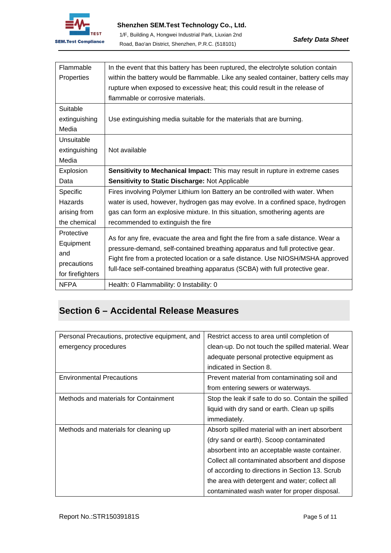

| Flammable        | In the event that this battery has been ruptured, the electrolyte solution contain  |
|------------------|-------------------------------------------------------------------------------------|
| Properties       | within the battery would be flammable. Like any sealed container, battery cells may |
|                  | rupture when exposed to excessive heat; this could result in the release of         |
|                  | flammable or corrosive materials.                                                   |
| Suitable         |                                                                                     |
| extinguishing    | Use extinguishing media suitable for the materials that are burning.                |
| Media            |                                                                                     |
| Unsuitable       |                                                                                     |
| extinguishing    | Not available                                                                       |
| Media            |                                                                                     |
| Explosion        | Sensitivity to Mechanical Impact: This may result in rupture in extreme cases       |
| Data             | Sensitivity to Static Discharge: Not Applicable                                     |
| Specific         | Fires involving Polymer Lithium Ion Battery an be controlled with water. When       |
| Hazards          | water is used, however, hydrogen gas may evolve. In a confined space, hydrogen      |
| arising from     | gas can form an explosive mixture. In this situation, smothering agents are         |
| the chemical     | recommended to extinguish the fire                                                  |
| Protective       | As for any fire, evacuate the area and fight the fire from a safe distance. Wear a  |
| Equipment        | pressure-demand, self-contained breathing apparatus and full protective gear.       |
| and              |                                                                                     |
| precautions      | Fight fire from a protected location or a safe distance. Use NIOSH/MSHA approved    |
| for firefighters | full-face self-contained breathing apparatus (SCBA) with full protective gear.      |
| <b>NFPA</b>      | Health: 0 Flammability: 0 Instability: 0                                            |

# **Section 6 – Accidental Release Measures**

| Personal Precautions, protective equipment, and | Restrict access to area until completion of         |
|-------------------------------------------------|-----------------------------------------------------|
| emergency procedures                            | clean-up. Do not touch the spilled material. Wear   |
|                                                 | adequate personal protective equipment as           |
|                                                 | indicated in Section 8.                             |
| <b>Environmental Precautions</b>                | Prevent material from contaminating soil and        |
|                                                 | from entering sewers or waterways.                  |
| Methods and materials for Containment           | Stop the leak if safe to do so. Contain the spilled |
|                                                 | liquid with dry sand or earth. Clean up spills      |
|                                                 | immediately.                                        |
| Methods and materials for cleaning up           | Absorb spilled material with an inert absorbent     |
|                                                 | (dry sand or earth). Scoop contaminated             |
|                                                 | absorbent into an acceptable waste container.       |
|                                                 | Collect all contaminated absorbent and dispose      |
|                                                 | of according to directions in Section 13. Scrub     |
|                                                 | the area with detergent and water; collect all      |
|                                                 | contaminated wash water for proper disposal.        |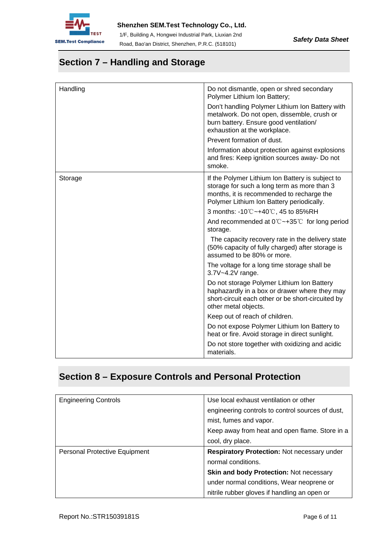

## **Section 7 – Handling and Storage**

| Handling | Do not dismantle, open or shred secondary<br>Polymer Lithium Ion Battery;                                                                                                                 |
|----------|-------------------------------------------------------------------------------------------------------------------------------------------------------------------------------------------|
|          | Don't handling Polymer Lithium Ion Battery with<br>metalwork. Do not open, dissemble, crush or<br>burn battery. Ensure good ventilation/<br>exhaustion at the workplace.                  |
|          | Prevent formation of dust.                                                                                                                                                                |
|          | Information about protection against explosions<br>and fires: Keep ignition sources away- Do not<br>smoke.                                                                                |
| Storage  | If the Polymer Lithium Ion Battery is subject to<br>storage for such a long term as more than 3<br>months, it is recommended to recharge the<br>Polymer Lithium Ion Battery periodically. |
|          | 3 months: -10℃~+40℃, 45 to 85%RH                                                                                                                                                          |
|          | And recommended at $0^{\circ}$ $\sim$ +35 $^{\circ}$ for long period<br>storage.                                                                                                          |
|          | The capacity recovery rate in the delivery state<br>(50% capacity of fully charged) after storage is<br>assumed to be 80% or more.                                                        |
|          | The voltage for a long time storage shall be<br>3.7V~4.2V range.                                                                                                                          |
|          | Do not storage Polymer Lithium Ion Battery<br>haphazardly in a box or drawer where they may<br>short-circuit each other or be short-circuited by<br>other metal objects.                  |
|          | Keep out of reach of children.                                                                                                                                                            |
|          | Do not expose Polymer Lithium Ion Battery to<br>heat or fire. Avoid storage in direct sunlight.                                                                                           |
|          | Do not store together with oxidizing and acidic<br>materials.                                                                                                                             |

# **Section 8 – Exposure Controls and Personal Protection**

| <b>Engineering Controls</b>   | Use local exhaust ventilation or other             |
|-------------------------------|----------------------------------------------------|
|                               | engineering controls to control sources of dust,   |
|                               | mist, fumes and vapor.                             |
|                               | Keep away from heat and open flame. Store in a     |
|                               | cool, dry place.                                   |
| Personal Protective Equipment | <b>Respiratory Protection: Not necessary under</b> |
|                               | normal conditions.                                 |
|                               | <b>Skin and body Protection: Not necessary</b>     |
|                               | under normal conditions, Wear neoprene or          |
|                               | nitrile rubber gloves if handling an open or       |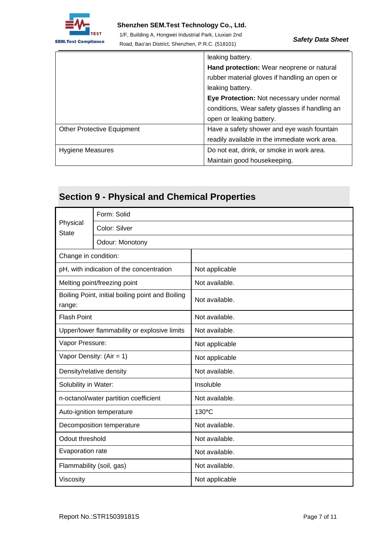

.

#### **Shenzhen SEM.Test Technology Co., Ltd.**

1/F, Building A, Hongwei Industrial Park, Liuxian 2nd Road, Bao'an District, Shenzhen, P.R.C. (518101)

|                                   | leaking battery.                               |
|-----------------------------------|------------------------------------------------|
|                                   | Hand protection: Wear neoprene or natural      |
|                                   | rubber material gloves if handling an open or  |
|                                   | leaking battery.                               |
|                                   | Eye Protection: Not necessary under normal     |
|                                   | conditions, Wear safety glasses if handling an |
|                                   | open or leaking battery.                       |
| <b>Other Protective Equipment</b> | Have a safety shower and eye wash fountain     |
|                                   | readily available in the immediate work area.  |
| <b>Hygiene Measures</b>           | Do not eat, drink, or smoke in work area.      |
|                                   | Maintain good housekeeping.                    |

## **Section 9 - Physical and Chemical Properties**

|                          | Form: Solid                                      |                 |
|--------------------------|--------------------------------------------------|-----------------|
| Physical<br><b>State</b> | Color: Silver                                    |                 |
|                          | Odour: Monotony                                  |                 |
| Change in condition:     |                                                  |                 |
|                          | pH, with indication of the concentration         | Not applicable  |
|                          | Melting point/freezing point                     | Not available.  |
| range:                   | Boiling Point, initial boiling point and Boiling | Not available.  |
| <b>Flash Point</b>       |                                                  | Not available.  |
|                          | Upper/lower flammability or explosive limits     | Not available.  |
| Vapor Pressure:          |                                                  | Not applicable  |
|                          | Vapor Density: $(Air = 1)$                       | Not applicable  |
| Density/relative density |                                                  | Not available.  |
| Solubility in Water:     |                                                  | Insoluble       |
|                          | n-octanol/water partition coefficient            | Not available.  |
|                          | Auto-ignition temperature                        | $130^{\circ}$ C |
|                          | Decomposition temperature                        | Not available.  |
| Odout threshold          |                                                  | Not available.  |
| Evaporation rate         |                                                  | Not available.  |
| Flammability (soil, gas) |                                                  | Not available.  |
| Viscosity                |                                                  | Not applicable  |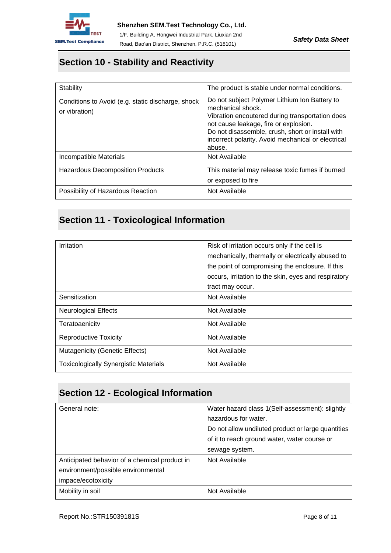

### **Section 10 - Stability and Reactivity**

| Stability                                                          | The product is stable under normal conditions.                                                                                                                                                                                                                                     |  |  |
|--------------------------------------------------------------------|------------------------------------------------------------------------------------------------------------------------------------------------------------------------------------------------------------------------------------------------------------------------------------|--|--|
| Conditions to Avoid (e.g. static discharge, shock<br>or vibration) | Do not subject Polymer Lithium Ion Battery to<br>mechanical shock.<br>Vibration encoutered during transportation does<br>not cause leakage, fire or explosion.<br>Do not disassemble, crush, short or install with<br>incorrect polarity. Avoid mechanical or electrical<br>abuse. |  |  |
| Incompatible Materials                                             | Not Available                                                                                                                                                                                                                                                                      |  |  |
| <b>Hazardous Decomposition Products</b>                            | This material may release toxic fumes if burned<br>or exposed to fire                                                                                                                                                                                                              |  |  |
| Possibility of Hazardous Reaction                                  | Not Available                                                                                                                                                                                                                                                                      |  |  |

## **Section 11 - Toxicological Information**

| Irritation                                   | Risk of irritation occurs only if the cell is        |  |
|----------------------------------------------|------------------------------------------------------|--|
|                                              | mechanically, thermally or electrically abused to    |  |
|                                              | the point of compromising the enclosure. If this     |  |
|                                              | occurs, irritation to the skin, eyes and respiratory |  |
|                                              | tract may occur.                                     |  |
| Sensitization                                | Not Available                                        |  |
| <b>Neurological Effects</b>                  | Not Available                                        |  |
| Teratoaenicity                               | Not Available                                        |  |
| <b>Reproductive Toxicity</b>                 | Not Available                                        |  |
| Mutagenicity (Genetic Effects)               | Not Available                                        |  |
| <b>Toxicologically Synergistic Materials</b> | Not Available                                        |  |

## **Section 12 - Ecological Information**

| Water hazard class 1(Self-assessment): slightly    |  |
|----------------------------------------------------|--|
| hazardous for water.                               |  |
| Do not allow undiluted product or large quantities |  |
| of it to reach ground water, water course or       |  |
| sewage system.                                     |  |
| Not Available                                      |  |
|                                                    |  |
|                                                    |  |
| Not Available                                      |  |
|                                                    |  |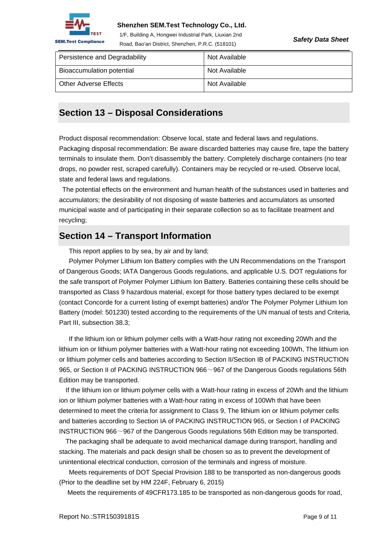

#### **Shenzhen SEM.Test Technology Co., Ltd.**

1/F, Building A, Hongwei Industrial Park, Liuxian 2nd Road, Bao'an District, Shenzhen, P.R.C. (518101)

*Safety Data Sheet* 

| Persistence and Degradability | Not Available |
|-------------------------------|---------------|
| Bioaccumulation potential     | Not Available |
| <b>Other Adverse Effects</b>  | Not Available |

### **Section 13 – Disposal Considerations**

Product disposal recommendation: Observe local, state and federal laws and regulations. Packaging disposal recommendation: Be aware discarded batteries may cause fire, tape the battery terminals to insulate them. Don't disassembly the battery. Completely discharge containers (no tear drops, no powder rest, scraped carefully). Containers may be recycled or re-used. Observe local, state and federal laws and regulations.

 The potential effects on the environment and human health of the substances used in batteries and accumulators; the desirability of not disposing of waste batteries and accumulators as unsorted municipal waste and of participating in their separate collection so as to facilitate treatment and recycling;

### **Section 14 – Transport Information**

This report applies to by sea, by air and by land;

Polymer Polymer Lithium Ion Battery complies with the UN Recommendations on the Transport of Dangerous Goods; IATA Dangerous Goods regulations, and applicable U.S. DOT regulations for the safe transport of Polymer Polymer Lithium Ion Battery. Batteries containing these cells should be transported as Class 9 hazardous material, except for those battery types declared to be exempt (contact Concorde for a current listing of exempt batteries) and/or The Polymer Polymer Lithium Ion Battery (model: 501230) tested according to the requirements of the UN manual of tests and Criteria, Part III, subsection 38.3:

 If the lithium ion or lithium polymer cells with a Watt-hour rating not exceeding 20Wh and the lithium ion or lithium polymer batteries with a Watt-hour rating not exceeding 100Wh, The lithium ion or lithium polymer cells and batteries according to Section II/Section IB of PACKING INSTRUCTION 965, or Section II of PACKING INSTRUCTION 966~967 of the Dangerous Goods regulations 56th Edition may be transported.

If the lithium ion or lithium polymer cells with a Watt-hour rating in excess of 20Wh and the lithium ion or lithium polymer batteries with a Watt-hour rating in excess of 100Wh that have been determined to meet the criteria for assignment to Class 9, The lithium ion or lithium polymer cells and batteries according to Section IA of PACKING INSTRUCTION 965, or Section I of PACKING INSTRUCTION 966~967 of the Dangerous Goods regulations 56th Edition may be transported.

The packaging shall be adequate to avoid mechanical damage during transport, handling and stacking. The materials and pack design shall be chosen so as to prevent the development of unintentional electrical conduction, corrosion of the terminals and ingress of moisture.

Meets requirements of DOT Special Provision 188 to be transported as non-dangerous goods (Prior to the deadline set by HM 224F, February 6, 2015)

Meets the requirements of 49CFR173.185 to be transported as non-dangerous goods for road,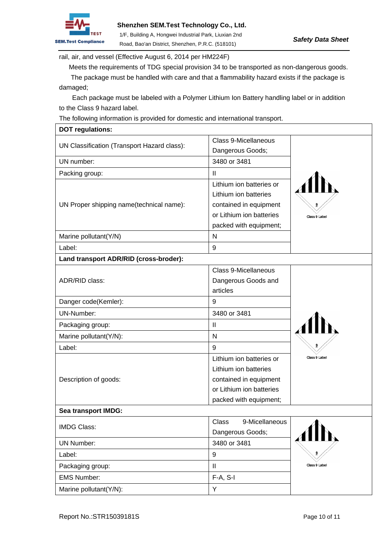

rail, air, and vessel (Effective August 6, 2014 per HM224F)

Meets the requirements of TDG special provision 34 to be transported as non-dangerous goods.

 The package must be handled with care and that a flammability hazard exists if the package is damaged;

Each package must be labeled with a Polymer Lithium Ion Battery handling label or in addition to the Class 9 hazard label.

The following information is provided for domestic and international transport.

| <b>DOT regulations:</b>                     |                                                                                                                                   |                         |
|---------------------------------------------|-----------------------------------------------------------------------------------------------------------------------------------|-------------------------|
| UN Classification (Transport Hazard class): | <b>Class 9-Micellaneous</b><br>Dangerous Goods;                                                                                   |                         |
| UN number:                                  | 3480 or 3481                                                                                                                      |                         |
| Packing group:                              | $\mathbf{II}$                                                                                                                     |                         |
| UN Proper shipping name(technical name):    | Lithium ion batteries or<br>Lithium ion batteries<br>contained in equipment                                                       | $\overline{\mathbf{a}}$ |
|                                             | or Lithium ion batteries<br>packed with equipment;                                                                                | Class 9 Label           |
| Marine pollutant(Y/N)                       | N                                                                                                                                 |                         |
| Label:                                      | 9                                                                                                                                 |                         |
| Land transport ADR/RID (cross-broder):      |                                                                                                                                   |                         |
| ADR/RID class:                              | <b>Class 9-Micellaneous</b><br>Dangerous Goods and<br>articles                                                                    |                         |
| Danger code(Kemler):                        | 9                                                                                                                                 |                         |
| UN-Number:                                  | 3480 or 3481                                                                                                                      |                         |
| Packaging group:                            | $\mathbf{II}$                                                                                                                     |                         |
| Marine pollutant(Y/N):                      | N                                                                                                                                 |                         |
| Label:                                      | 9                                                                                                                                 | 9                       |
| Description of goods:                       | Lithium ion batteries or<br>Lithium ion batteries<br>contained in equipment<br>or Lithium ion batteries<br>packed with equipment; | Class 9 Label           |
| Sea transport IMDG:                         |                                                                                                                                   |                         |
| <b>IMDG Class:</b>                          | 9-Micellaneous<br>Class<br>Dangerous Goods;                                                                                       |                         |
| <b>UN Number:</b>                           | 3480 or 3481                                                                                                                      |                         |
| Label:                                      | 9                                                                                                                                 | $\overline{\mathbf{a}}$ |
| Packaging group:                            | $\mathop{\textstyle\prod}$                                                                                                        | Class 9 Label           |
| <b>EMS Number:</b>                          | F-A, S-I                                                                                                                          |                         |
| Marine pollutant(Y/N):                      | Y                                                                                                                                 |                         |